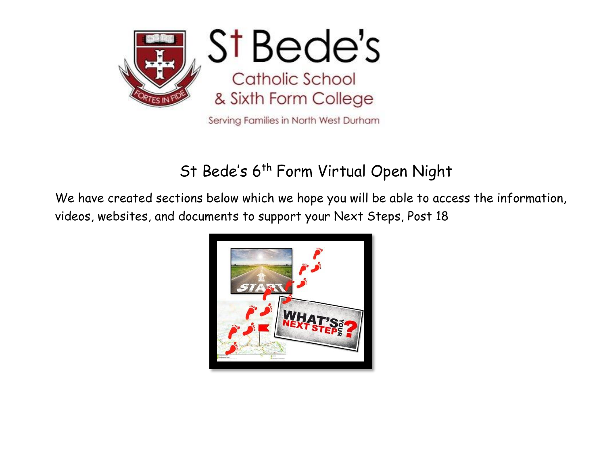

# St Bede's 6<sup>th</sup> Form Virtual Open Night

We have created sections below which we hope you will be able to access the information, videos, websites, and documents to support your Next Steps, Post 18

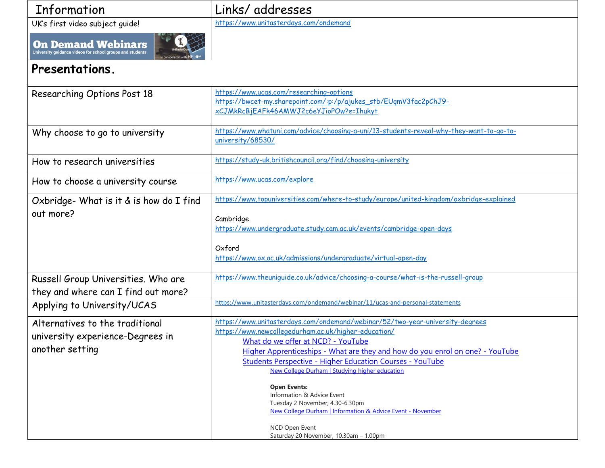| Information |
|-------------|

### Links/ addresses

UK's first video subject guide! <https://www.unitasterdays.com/ondemand>

**On Demand Webinars**<br>University guidance videos for school groups and students



#### **Presentations.**

| Researching Options Post 18             | https://www.ucas.com/researching-options<br>https://bwcet-my.sharepoint.com/:p:/p/ajukes_stb/EUqmV3fac2pChJ9-                                     |
|-----------------------------------------|---------------------------------------------------------------------------------------------------------------------------------------------------|
|                                         | xCJMkRcBjEAFk46AMWJ2c6eYJioPOw?e=Ihukyt                                                                                                           |
| Why choose to go to university          | https://www.whatuni.com/advice/choosing-a-uni/13-students-reveal-why-they-want-to-go-to-<br>university/68530/                                     |
| How to research universities            | https://study-uk.britishcouncil.org/find/choosing-university                                                                                      |
| How to choose a university course       | https://www.ucas.com/explore                                                                                                                      |
| Oxbridge- What is it & is how do I find | https://www.topuniversities.com/where-to-study/europe/united-kingdom/oxbridge-explained                                                           |
| out more?                               | Cambridge                                                                                                                                         |
|                                         | https://www.undergraduate.study.cam.ac.uk/events/cambridge-open-days                                                                              |
|                                         |                                                                                                                                                   |
|                                         | Oxford                                                                                                                                            |
|                                         | https://www.ox.ac.uk/admissions/undergraduate/virtual-open-day                                                                                    |
| Russell Group Universities. Who are     | https://www.theuniquide.co.uk/advice/choosing-a-course/what-is-the-russell-group                                                                  |
| they and where can I find out more?     |                                                                                                                                                   |
| Applying to University/UCAS             | https://www.unitasterdays.com/ondemand/webinar/11/ucas-and-personal-statements                                                                    |
|                                         |                                                                                                                                                   |
| Alternatives to the traditional         | https://www.unitasterdays.com/ondemand/webinar/52/two-year-university-degrees                                                                     |
| university experience-Degrees in        | https://www.newcollegedurham.ac.uk/higher-education/                                                                                              |
| another setting                         | What do we offer at NCD? - YouTube                                                                                                                |
|                                         | Higher Apprenticeships - What are they and how do you enrol on one? - YouTube<br><b>Students Perspective - Higher Education Courses - YouTube</b> |
|                                         | New College Durham   Studying higher education                                                                                                    |
|                                         |                                                                                                                                                   |
|                                         | <b>Open Events:</b>                                                                                                                               |
|                                         | Information & Advice Event<br>Tuesday 2 November, 4.30-6.30pm                                                                                     |
|                                         | New College Durham   Information & Advice Event - November                                                                                        |
|                                         |                                                                                                                                                   |
|                                         | NCD Open Event<br>Saturday 20 November, 10.30am - 1.00pm                                                                                          |
|                                         |                                                                                                                                                   |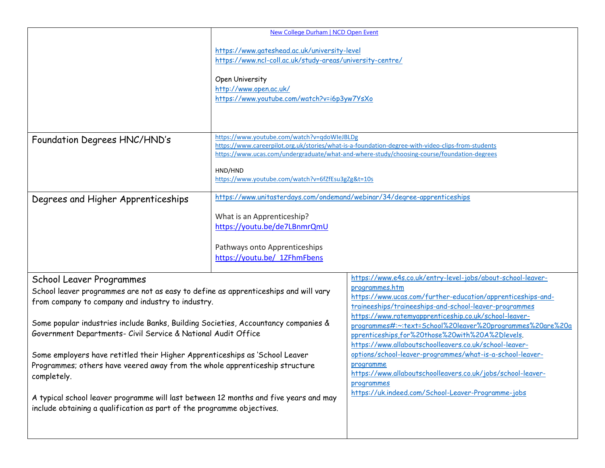|                                                                                                                                                                                                                                                                                                                                                                                                                                                                                                                                                                                                                                                                            | New College Durham   NCD Open Event                                                                                                                                                                     |                                                                                                                                                                                                                                                                                                                                                                                                                                                                                                                                                                                                                                                        |
|----------------------------------------------------------------------------------------------------------------------------------------------------------------------------------------------------------------------------------------------------------------------------------------------------------------------------------------------------------------------------------------------------------------------------------------------------------------------------------------------------------------------------------------------------------------------------------------------------------------------------------------------------------------------------|---------------------------------------------------------------------------------------------------------------------------------------------------------------------------------------------------------|--------------------------------------------------------------------------------------------------------------------------------------------------------------------------------------------------------------------------------------------------------------------------------------------------------------------------------------------------------------------------------------------------------------------------------------------------------------------------------------------------------------------------------------------------------------------------------------------------------------------------------------------------------|
|                                                                                                                                                                                                                                                                                                                                                                                                                                                                                                                                                                                                                                                                            | https://www.gateshead.ac.uk/university-level<br>https://www.ncl-coll.ac.uk/study-areas/university-centre/<br>Open University<br>http://www.open.ac.uk/<br>https://www.youtube.com/watch?v=i6p3yw7YsXo   |                                                                                                                                                                                                                                                                                                                                                                                                                                                                                                                                                                                                                                                        |
| Foundation Degrees HNC/HND's                                                                                                                                                                                                                                                                                                                                                                                                                                                                                                                                                                                                                                               | https://www.youtube.com/watch?v=qdoWleJBLDg<br>HND/HND<br>https://www.youtube.com/watch?v=6fZfEsu3gZg&t=10s                                                                                             | https://www.careerpilot.org.uk/stories/what-is-a-foundation-degree-with-video-clips-from-students<br>https://www.ucas.com/undergraduate/what-and-where-study/choosing-course/foundation-degrees                                                                                                                                                                                                                                                                                                                                                                                                                                                        |
| Degrees and Higher Apprenticeships                                                                                                                                                                                                                                                                                                                                                                                                                                                                                                                                                                                                                                         | https://www.unitasterdays.com/ondemand/webinar/34/degree-apprenticeships<br>What is an Apprenticeship?<br>https://youtu.be/de7LBnmrQmU<br>Pathways onto Apprenticeships<br>https://youtu.be/_1ZFhmFbens |                                                                                                                                                                                                                                                                                                                                                                                                                                                                                                                                                                                                                                                        |
| School Leaver Programmes<br>School leaver programmes are not as easy to define as apprenticeships and will vary<br>from company to company and industry to industry.<br>Some popular industries include Banks, Building Societies, Accountancy companies &<br>Government Departments- Civil Service & National Audit Office<br>Some employers have retitled their Higher Apprenticeships as 'School Leaver<br>Programmes; others have veered away from the whole apprenticeship structure<br>completely.<br>A typical school leaver programme will last between 12 months and five years and may<br>include obtaining a qualification as part of the programme objectives. |                                                                                                                                                                                                         | https://www.e4s.co.uk/entry-level-jobs/about-school-leaver-<br>programmes.htm<br>https://www.ucas.com/further-education/apprenticeships-and-<br>traineeships/traineeships-and-school-leaver-programmes<br>https://www.ratemyapprenticeship.co.uk/school-leaver-<br>programmes#:~:text=School%20leaver%20programmes%20are%20a<br>pprenticeships,for%20those%20with%20A%2Dlevels.<br>https://www.allaboutschoolleavers.co.uk/school-leaver-<br>options/school-leaver-programmes/what-is-a-school-leaver-<br>programme<br>https://www.allaboutschoolleavers.co.uk/jobs/school-leaver-<br>programmes<br>https://uk.indeed.com/School-Leaver-Programme-jobs |